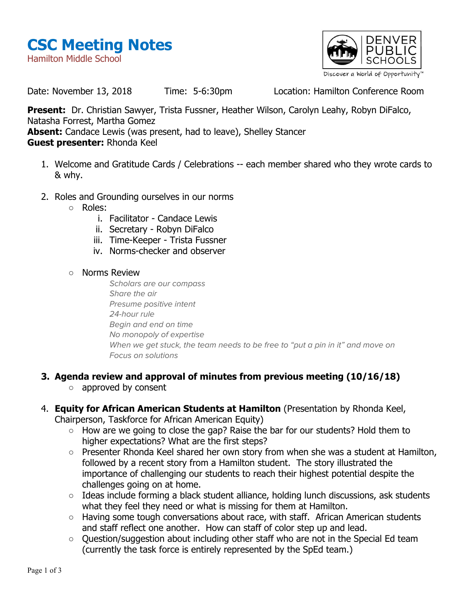



Date: November 13, 2018 Time: 5-6:30pm Location: Hamilton Conference Room

**Present:** Dr. Christian Sawyer, Trista Fussner, Heather Wilson, Carolyn Leahy, Robyn DiFalco, Natasha Forrest, Martha Gomez **Absent:** Candace Lewis (was present, had to leave), Shelley Stancer

- **Guest presenter:** Rhonda Keel
	- 1. Welcome and Gratitude Cards / Celebrations -- each member shared who they wrote cards to & why.
	- 2. Roles and Grounding ourselves in our norms
		- Roles:
			- i. Facilitator Candace Lewis
			- ii. Secretary Robyn DiFalco
			- iii. Time-Keeper Trista Fussner
			- iv. Norms-checker and observer
		- Norms Review

Scholars are our compass Share the air Presume positive intent 24-hour rule Begin and end on time No monopoly of expertise When we get stuck, the team needs to be free to "put a pin in it" and move on Focus on solutions

## **3. Agenda review and approval of minutes from previous meeting (10/16/18)**

- approved by consent
- 4. **Equity for African American Students at Hamilton** (Presentation by Rhonda Keel,

Chairperson, Taskforce for African American Equity)

- How are we going to close the gap? Raise the bar for our students? Hold them to higher expectations? What are the first steps?
- Presenter Rhonda Keel shared her own story from when she was a student at Hamilton, followed by a recent story from a Hamilton student. The story illustrated the importance of challenging our students to reach their highest potential despite the challenges going on at home.
- Ideas include forming a black student alliance, holding lunch discussions, ask students what they feel they need or what is missing for them at Hamilton.
- Having some tough conversations about race, with staff. African American students and staff reflect one another. How can staff of color step up and lead.
- Question/suggestion about including other staff who are not in the Special Ed team (currently the task force is entirely represented by the SpEd team.)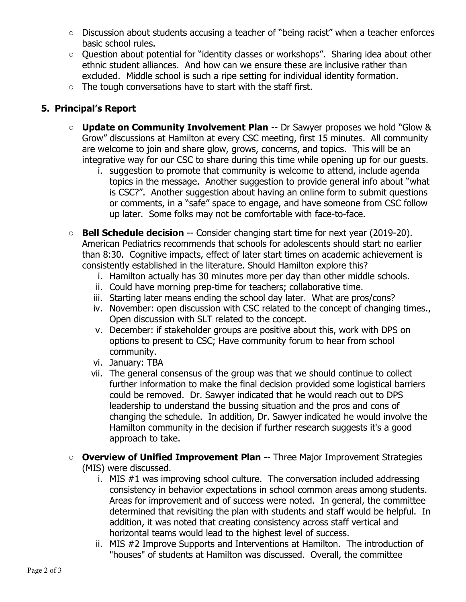- Discussion about students accusing a teacher of "being racist" when a teacher enforces basic school rules.
- Question about potential for "identity classes or workshops". Sharing idea about other ethnic student alliances. And how can we ensure these are inclusive rather than excluded. Middle school is such a ripe setting for individual identity formation.
- The tough conversations have to start with the staff first.

## **5. Principal's Report**

- **Update on Community Involvement Plan** -- Dr Sawyer proposes we hold "Glow & Grow" discussions at Hamilton at every CSC meeting, first 15 minutes. All community are welcome to join and share glow, grows, concerns, and topics. This will be an integrative way for our CSC to share during this time while opening up for our guests.
	- i. suggestion to promote that community is welcome to attend, include agenda topics in the message. Another suggestion to provide general info about "what is CSC?". Another suggestion about having an online form to submit questions or comments, in a "safe" space to engage, and have someone from CSC follow up later. Some folks may not be comfortable with face-to-face.
- **Bell Schedule decision** -- Consider changing start time for next year (2019-20). American Pediatrics recommends that schools for adolescents should start no earlier than 8:30. Cognitive impacts, effect of later start times on academic achievement is consistently established in the literature. Should Hamilton explore this?
	- i. Hamilton actually has 30 minutes more per day than other middle schools.
	- ii. Could have morning prep-time for teachers; collaborative time.
	- iii. Starting later means ending the school day later. What are pros/cons?
	- iv. November: open discussion with CSC related to the concept of changing times., Open discussion with SLT related to the concept.
	- v. December: if stakeholder groups are positive about this, work with DPS on options to present to CSC; Have community forum to hear from school community.
	- vi. January: TBA
	- vii. The general consensus of the group was that we should continue to collect further information to make the final decision provided some logistical barriers could be removed. Dr. Sawyer indicated that he would reach out to DPS leadership to understand the bussing situation and the pros and cons of changing the schedule. In addition, Dr. Sawyer indicated he would involve the Hamilton community in the decision if further research suggests it's a good approach to take.
- **Overview of Unified Improvement Plan** -- Three Major Improvement Strategies (MIS) were discussed.
	- i. MIS #1 was improving school culture. The conversation included addressing consistency in behavior expectations in school common areas among students. Areas for improvement and of success were noted. In general, the committee determined that revisiting the plan with students and staff would be helpful. In addition, it was noted that creating consistency across staff vertical and horizontal teams would lead to the highest level of success.
	- ii. MIS #2 Improve Supports and Interventions at Hamilton. The introduction of "houses" of students at Hamilton was discussed. Overall, the committee